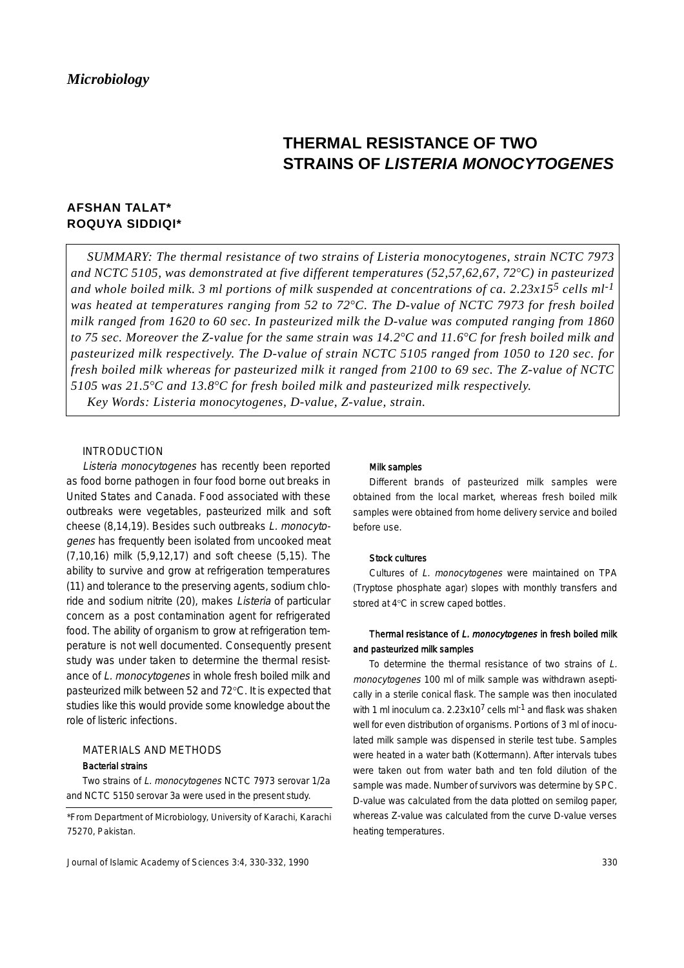# **THERMAL RESISTANCE OF TWO STRAINS OF** *LISTERIA MONOCYTOGENES*

# **AFSHAN TALAT\* ROQUYA SIDDIQI\***

*SUMMARY: The thermal resistance of two strains of Listeria monocytogenes, strain NCTC 7973 and NCTC 5105, was demonstrated at five different temperatures (52,57,62,67, 72*°*C) in pasteurized and whole boiled milk. 3 ml portions of milk suspended at concentrations of ca. 2.23x155 cells ml-1 was heated at temperatures ranging from 52 to 72*°*C. The D-value of NCTC 7973 for fresh boiled milk ranged from 1620 to 60 sec. In pasteurized milk the D-value was computed ranging from 1860 to 75 sec. Moreover the Z-value for the same strain was 14.2*°*C and 11.6*°*C for fresh boiled milk and pasteurized milk respectively. The D-value of strain NCTC 5105 ranged from 1050 to 120 sec. for fresh boiled milk whereas for pasteurized milk it ranged from 2100 to 69 sec. The Z-value of NCTC 5105 was 21.5*°*C and 13.8*°*C for fresh boiled milk and pasteurized milk respectively. Key Words: Listeria monocytogenes, D-value, Z-value, strain.*

# INTRODUCTION

Listeria monocytogenes has recently been reported as food borne pathogen in four food borne out breaks in United States and Canada. Food associated with these outbreaks were vegetables, pasteurized milk and soft cheese (8,14,19). Besides such outbreaks L. monocytogenes has frequently been isolated from uncooked meat (7,10,16) milk (5,9,12,17) and soft cheese (5,15). The ability to survive and grow at refrigeration temperatures (11) and tolerance to the preserving agents, sodium chloride and sodium nitrite (20), makes Listeria of particular concern as a post contamination agent for refrigerated food. The ability of organism to grow at refrigeration temperature is not well documented. Consequently present study was under taken to determine the thermal resistance of L. monocytogenes in whole fresh boiled milk and pasteurized milk between 52 and 72°C. It is expected that studies like this would provide some knowledge about the role of listeric infections.

# MATERIALS AND METHODS

# Bacterial strains

Two strains of L. monocytogenes NCTC 7973 serovar 1/2a and NCTC 5150 serovar 3a were used in the present study.

\*From Department of Microbiology, University of Karachi, Karachi 75270, Pakistan.

Journal of Islamic Academy of Sciences 3:4, 330-332, 1990

#### Milk samples

Different brands of pasteurized milk samples were obtained from the local market, whereas fresh boiled milk samples were obtained from home delivery service and boiled before use.

### Stock cultures

Cultures of L. monocytogenes were maintained on TPA (Tryptose phosphate agar) slopes with monthly transfers and stored at 4°C in screw caped bottles.

# Thermal resistance of L. monocytogenes in fresh boiled milk and pasteurized milk samples

To determine the thermal resistance of two strains of L. monocytogenes 100 ml of milk sample was withdrawn aseptically in a sterile conical flask. The sample was then inoculated with 1 ml inoculum ca. 2.23x10<sup>7</sup> cells ml<sup>-1</sup> and flask was shaken well for even distribution of organisms. Portions of 3 ml of inoculated milk sample was dispensed in sterile test tube. Samples were heated in a water bath (Kottermann). After intervals tubes were taken out from water bath and ten fold dilution of the sample was made. Number of survivors was determine by SPC. D-value was calculated from the data plotted on semilog paper, whereas Z-value was calculated from the curve D-value verses heating temperatures.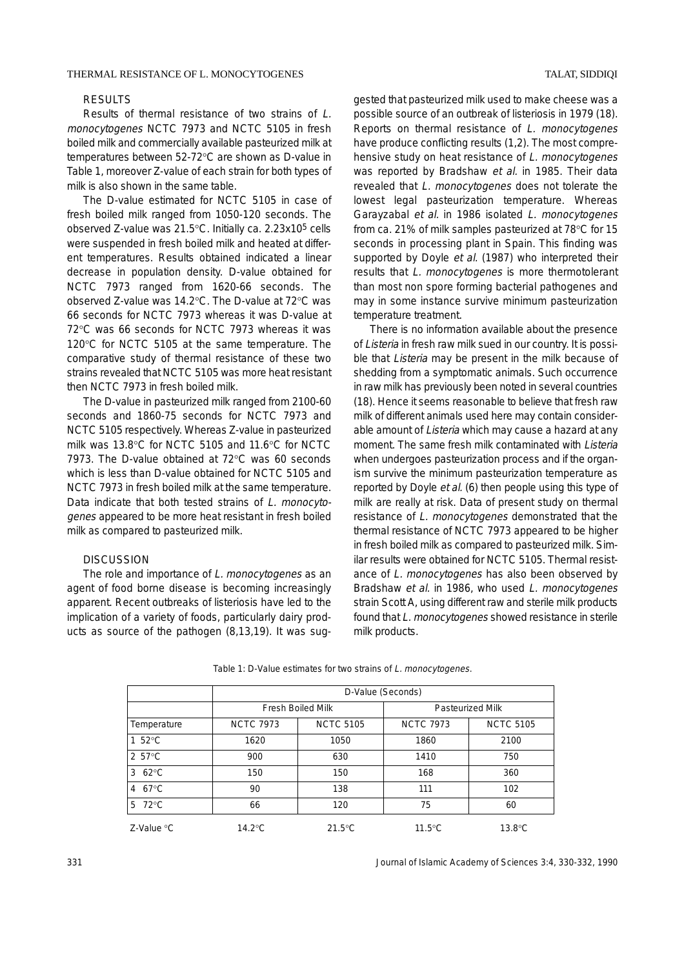### THERMAL RESISTANCE OF L. MONOCYTOGENES TALAT, SIDDIQI

# RESULTS

Results of thermal resistance of two strains of L. monocytogenes NCTC 7973 and NCTC 5105 in fresh boiled milk and commercially available pasteurized milk at temperatures between 52-72°C are shown as D-value in Table 1, moreover Z-value of each strain for both types of milk is also shown in the same table.

The D-value estimated for NCTC 5105 in case of fresh boiled milk ranged from 1050-120 seconds. The observed Z-value was 21.5°C. Initially ca. 2.23x105 cells were suspended in fresh boiled milk and heated at different temperatures. Results obtained indicated a linear decrease in population density. D-value obtained for NCTC 7973 ranged from 1620-66 seconds. The observed Z-value was 14.2°C. The D-value at 72°C was 66 seconds for NCTC 7973 whereas it was D-value at 72°C was 66 seconds for NCTC 7973 whereas it was 120°C for NCTC 5105 at the same temperature. The comparative study of thermal resistance of these two strains revealed that NCTC 5105 was more heat resistant then NCTC 7973 in fresh boiled milk.

The D-value in pasteurized milk ranged from 2100-60 seconds and 1860-75 seconds for NCTC 7973 and NCTC 5105 respectively. Whereas Z-value in pasteurized milk was 13.8°C for NCTC 5105 and 11.6°C for NCTC 7973. The D-value obtained at 72°C was 60 seconds which is less than D-value obtained for NCTC 5105 and NCTC 7973 in fresh boiled milk at the same temperature. Data indicate that both tested strains of L. monocytogenes appeared to be more heat resistant in fresh boiled milk as compared to pasteurized milk.

# **DISCUSSION**

The role and importance of L. monocytogenes as an agent of food borne disease is becoming increasingly apparent. Recent outbreaks of listeriosis have led to the implication of a variety of foods, particularly dairy products as source of the pathogen (8,13,19). It was suggested that pasteurized milk used to make cheese was a possible source of an outbreak of listeriosis in 1979 (18). Reports on thermal resistance of L. monocytogenes have produce conflicting results (1,2). The most comprehensive study on heat resistance of L. monocytogenes was reported by Bradshaw et al. in 1985. Their data revealed that L. monocytogenes does not tolerate the lowest legal pasteurization temperature. Whereas Garayzabal et al. in 1986 isolated L. monocytogenes from ca. 21% of milk samples pasteurized at 78°C for 15 seconds in processing plant in Spain. This finding was supported by Doyle et al. (1987) who interpreted their results that *L. monocytogenes* is more thermotolerant than most non spore forming bacterial pathogenes and may in some instance survive minimum pasteurization temperature treatment.

There is no information available about the presence of Listeria in fresh raw milk sued in our country. It is possible that Listeria may be present in the milk because of shedding from a symptomatic animals. Such occurrence in raw milk has previously been noted in several countries (18). Hence it seems reasonable to believe that fresh raw milk of different animals used here may contain considerable amount of Listeria which may cause a hazard at any moment. The same fresh milk contaminated with Listeria when undergoes pasteurization process and if the organism survive the minimum pasteurization temperature as reported by Doyle et al. (6) then people using this type of milk are really at risk. Data of present study on thermal resistance of L. monocytogenes demonstrated that the thermal resistance of NCTC 7973 appeared to be higher in fresh boiled milk as compared to pasteurized milk. Similar results were obtained for NCTC 5105. Thermal resistance of L. monocytogenes has also been observed by Bradshaw et al. in 1986, who used L. monocytogenes strain Scott A, using different raw and sterile milk products found that L. monocytogenes showed resistance in sterile milk products.

|                           | D-Value (Seconds)        |                  |                         |                  |
|---------------------------|--------------------------|------------------|-------------------------|------------------|
|                           | <b>Fresh Boiled Milk</b> |                  | <b>Pasteurized Milk</b> |                  |
| Temperature               | <b>NCTC 7973</b>         | <b>NCTC 5105</b> | <b>NCTC 7973</b>        | <b>NCTC 5105</b> |
| 1 $52^{\circ}$ C          | 1620                     | 1050             | 1860                    | 2100             |
| $2\,57^{\circ}\mathrm{C}$ | 900                      | 630              | 1410                    | 750              |
| 3 $62^{\circ}$ C          | 150                      | 150              | 168                     | 360              |
| 4 $67^{\circ}$ C          | 90                       | 138              | 111                     | 102              |
| $5\quad72^{\circ}$ C      | 66                       | 120              | 75                      | 60               |
| $Z$ -Value $°C$           | $14.2$ °C                | $21.5^{\circ}$ C | $11.5^{\circ}$ C        | $13.8^{\circ}$ C |

Table 1: D-Value estimates for two strains of L. monocytogenes.

<sup>331</sup> Journal of Islamic Academy of Sciences 3:4, 330-332, 1990